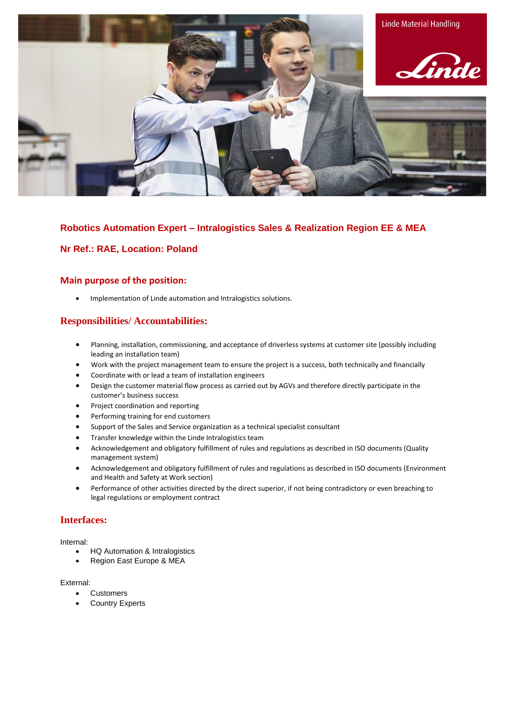

## **Robotics Automation Expert – Intralogistics Sales & Realization Region EE & MEA**

## **Nr Ref.: RAE, Location: Poland**

### **Main purpose of the position:**

• Implementation of Linde automation and Intralogistics solutions.

# **Responsibilities/ Accountabilities:**

- Planning, installation, commissioning, and acceptance of driverless systems at customer site (possibly including leading an installation team)
- Work with the project management team to ensure the project is a success, both technically and financially
- Coordinate with or lead a team of installation engineers
- Design the customer material flow process as carried out by AGVs and therefore directly participate in the customer's business success
- Project coordination and reporting
- Performing training for end customers
- Support of the Sales and Service organization as a technical specialist consultant
- Transfer knowledge within the Linde Intralogistics team
- Acknowledgement and obligatory fulfillment of rules and regulations as described in ISO documents (Quality management system)
- Acknowledgement and obligatory fulfillment of rules and regulations as described in ISO documents (Environment and Health and Safety at Work section)
- Performance of other activities directed by the direct superior, if not being contradictory or even breaching to legal regulations or employment contract

### **Interfaces:**

Internal:

- HQ Automation & Intralogistics
- Region East Europe & MEA

External:

- Customers
- **Country Experts**